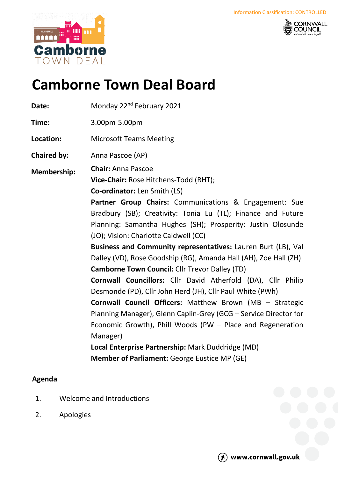



## **Camborne Town Deal Board**

Date: Monday 22<sup>nd</sup> February 2021

**Time:** 3.00pm-5.00pm

**Location:** Microsoft Teams Meeting

**Chaired by:** Anna Pascoe (AP)

**Membership: Chair:** Anna Pascoe

**Vice-Chair:** Rose Hitchens-Todd (RHT);

**Co-ordinator:** Len Smith (LS)

**Partner Group Chairs:** Communications & Engagement: Sue Bradbury (SB); Creativity: Tonia Lu (TL); Finance and Future Planning: Samantha Hughes (SH); Prosperity: Justin Olosunde (JO); Vision: Charlotte Caldwell (CC)

**Business and Community representatives:** Lauren Burt (LB), Val Dalley (VD), Rose Goodship (RG), Amanda Hall (AH), Zoe Hall (ZH) **Camborne Town Council:** Cllr Trevor Dalley (TD)

**Cornwall Councillors:** Cllr David Atherfold (DA), Cllr Philip Desmonde (PD), Cllr John Herd (JH), Cllr Paul White (PWh)

**Cornwall Council Officers:** Matthew Brown (MB – Strategic Planning Manager), Glenn Caplin-Grey (GCG – Service Director for Economic Growth), Phill Woods (PW – Place and Regeneration Manager)

**Local Enterprise Partnership:** Mark Duddridge (MD) **Member of Parliament:** George Eustice MP (GE)

## **Agenda**

- 1. Welcome and Introductions
- 2. Apologies